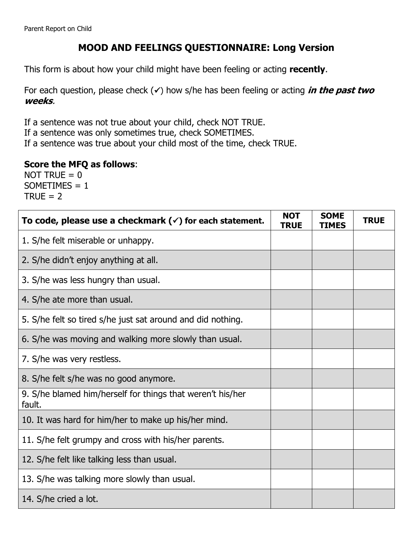## **MOOD AND FEELINGS QUESTIONNAIRE: Long Version**

This form is about how your child might have been feeling or acting **recently**.

For each question, please check  $(\checkmark)$  how s/he has been feeling or acting *in the past two* **weeks**.

If a sentence was not true about your child, check NOT TRUE.

If a sentence was only sometimes true, check SOMETIMES.

If a sentence was true about your child most of the time, check TRUE.

## **Score the MFQ as follows**:

NOT TRUE  $= 0$  $SOMETIMES = 1$  $TRUE = 2$ 

| To code, please use a checkmark $(\check{\phantom{1}})$ for each statement. | <b>NOT</b><br><b>TRUE</b> | <b>SOME</b><br>TIMES | <b>TRUE</b> |
|-----------------------------------------------------------------------------|---------------------------|----------------------|-------------|
| 1. S/he felt miserable or unhappy.                                          |                           |                      |             |
| 2. S/he didn't enjoy anything at all.                                       |                           |                      |             |
| 3. S/he was less hungry than usual.                                         |                           |                      |             |
| 4. S/he ate more than usual.                                                |                           |                      |             |
| 5. S/he felt so tired s/he just sat around and did nothing.                 |                           |                      |             |
| 6. S/he was moving and walking more slowly than usual.                      |                           |                      |             |
| 7. S/he was very restless.                                                  |                           |                      |             |
| 8. S/he felt s/he was no good anymore.                                      |                           |                      |             |
| 9. S/he blamed him/herself for things that weren't his/her<br>fault.        |                           |                      |             |
| 10. It was hard for him/her to make up his/her mind.                        |                           |                      |             |
| 11. S/he felt grumpy and cross with his/her parents.                        |                           |                      |             |
| 12. S/he felt like talking less than usual.                                 |                           |                      |             |
| 13. S/he was talking more slowly than usual.                                |                           |                      |             |
| 14. S/he cried a lot.                                                       |                           |                      |             |